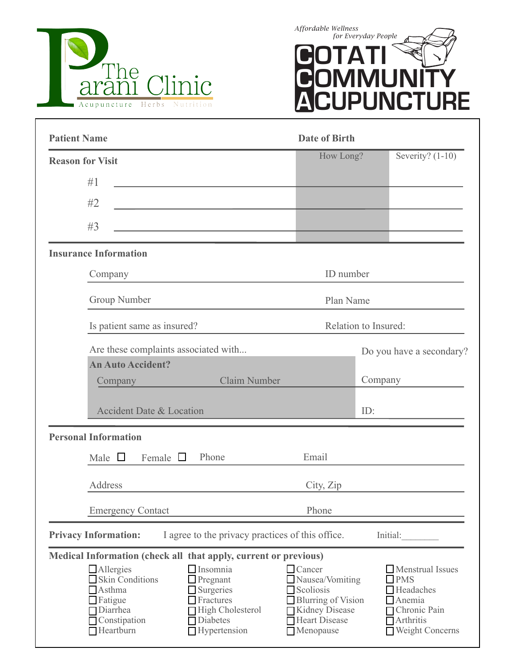



| <b>Patient Name</b>                                                                                                                                                                                                                                                                                                                          | <b>Date of Birth</b>                                                                                                                              |         |                                                                                                                                                |
|----------------------------------------------------------------------------------------------------------------------------------------------------------------------------------------------------------------------------------------------------------------------------------------------------------------------------------------------|---------------------------------------------------------------------------------------------------------------------------------------------------|---------|------------------------------------------------------------------------------------------------------------------------------------------------|
| <b>Reason for Visit</b>                                                                                                                                                                                                                                                                                                                      | How Long?                                                                                                                                         |         | Severity? $(1-10)$                                                                                                                             |
| #1                                                                                                                                                                                                                                                                                                                                           |                                                                                                                                                   |         |                                                                                                                                                |
| #2                                                                                                                                                                                                                                                                                                                                           |                                                                                                                                                   |         |                                                                                                                                                |
| #3                                                                                                                                                                                                                                                                                                                                           |                                                                                                                                                   |         |                                                                                                                                                |
| <b>Insurance Information</b>                                                                                                                                                                                                                                                                                                                 |                                                                                                                                                   |         |                                                                                                                                                |
| Company                                                                                                                                                                                                                                                                                                                                      | ID number                                                                                                                                         |         |                                                                                                                                                |
| Group Number                                                                                                                                                                                                                                                                                                                                 | Plan Name                                                                                                                                         |         |                                                                                                                                                |
| Is patient same as insured?                                                                                                                                                                                                                                                                                                                  | Relation to Insured:                                                                                                                              |         |                                                                                                                                                |
| Are these complaints associated with<br><b>An Auto Accident?</b>                                                                                                                                                                                                                                                                             |                                                                                                                                                   |         | Do you have a secondary?                                                                                                                       |
| <b>Claim Number</b><br>Company                                                                                                                                                                                                                                                                                                               |                                                                                                                                                   | Company |                                                                                                                                                |
| <b>Accident Date &amp; Location</b>                                                                                                                                                                                                                                                                                                          |                                                                                                                                                   | ID:     |                                                                                                                                                |
| <b>Personal Information</b>                                                                                                                                                                                                                                                                                                                  |                                                                                                                                                   |         |                                                                                                                                                |
| Male $\Box$<br>Female $\Box$<br>Phone                                                                                                                                                                                                                                                                                                        | Email                                                                                                                                             |         |                                                                                                                                                |
| Address                                                                                                                                                                                                                                                                                                                                      | City, Zip                                                                                                                                         |         |                                                                                                                                                |
| <b>Emergency Contact</b>                                                                                                                                                                                                                                                                                                                     | Phone                                                                                                                                             |         |                                                                                                                                                |
| I agree to the privacy practices of this office.<br><b>Privacy Information:</b>                                                                                                                                                                                                                                                              |                                                                                                                                                   |         | Initial:                                                                                                                                       |
| Medical Information (check all that apply, current or previous)<br>Allergies<br>$\Box$ Insomnia<br>Skin Conditions<br>$\Box$ Pregnant<br>$\Box$ Asthma<br>$\Box$ Surgeries<br>$\Box$ Fatigue<br>$\Box$ Fractures<br>$\Box$ Diarrhea<br>High Cholesterol<br>$\Box$ Constipation<br>$\Box$ Diabetes<br>$\Box$ Heartburn<br>$\Box$ Hypertension | $\Box$ Cancer<br>$\Box$ Nausea/Vomiting<br>$\Box$ Scoliosis<br>Blurring of Vision<br>Kidney Disease<br><b>□</b> Heart Disease<br>$\Box$ Menopause |         | Menstrual Issues<br>$\square$ PMS<br>$\Box$ Headaches<br>$\Box$ Anemia<br>□ Chronic Pain<br>$\blacksquare$ Arthritis<br><b>Weight Concerns</b> |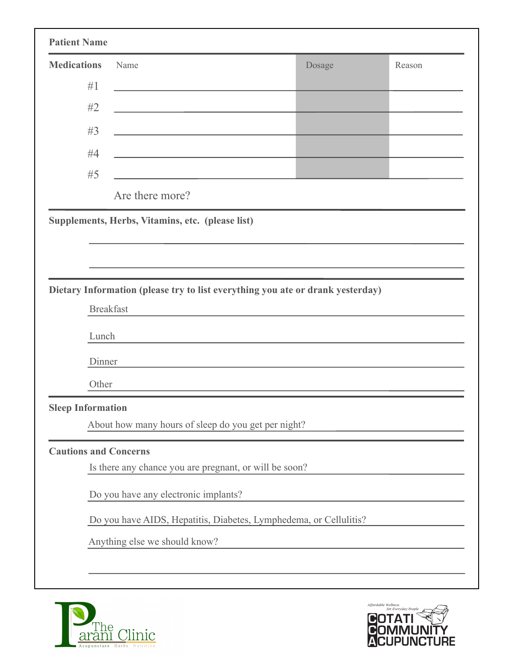| <b>Patient Name</b>          |                                                                                           |                                                                                |        |
|------------------------------|-------------------------------------------------------------------------------------------|--------------------------------------------------------------------------------|--------|
| <b>Medications</b>           | Name                                                                                      | Dosage                                                                         | Reason |
| #1                           |                                                                                           |                                                                                |        |
| #2                           | <u> 1989 - Johann John Stone, mars et al. (</u>                                           |                                                                                |        |
| #3                           | the control of the control of the control of the control of the control of the control of |                                                                                |        |
| #4                           | the control of the control of the control of the control of the control of                |                                                                                |        |
| #5                           | the control of the control of the control of the control of                               |                                                                                |        |
|                              | Are there more?                                                                           |                                                                                |        |
|                              | Supplements, Herbs, Vitamins, etc. (please list)                                          |                                                                                |        |
|                              |                                                                                           |                                                                                |        |
|                              |                                                                                           |                                                                                |        |
|                              |                                                                                           |                                                                                |        |
|                              | <b>Breakfast</b>                                                                          | Dietary Information (please try to list everything you ate or drank yesterday) |        |
|                              |                                                                                           |                                                                                |        |
| Lunch                        |                                                                                           |                                                                                |        |
| Dinner                       |                                                                                           |                                                                                |        |
| Other                        |                                                                                           |                                                                                |        |
| <b>Sleep Information</b>     |                                                                                           |                                                                                |        |
|                              | About how many hours of sleep do you get per night?                                       |                                                                                |        |
| <b>Cautions and Concerns</b> |                                                                                           |                                                                                |        |
|                              | Is there any chance you are pregnant, or will be soon?                                    |                                                                                |        |
|                              |                                                                                           |                                                                                |        |
|                              | Do you have any electronic implants?                                                      |                                                                                |        |
|                              |                                                                                           | Do you have AIDS, Hepatitis, Diabetes, Lymphedema, or Cellulitis?              |        |
|                              | Anything else we should know?                                                             |                                                                                |        |
|                              |                                                                                           |                                                                                |        |
|                              |                                                                                           |                                                                                |        |



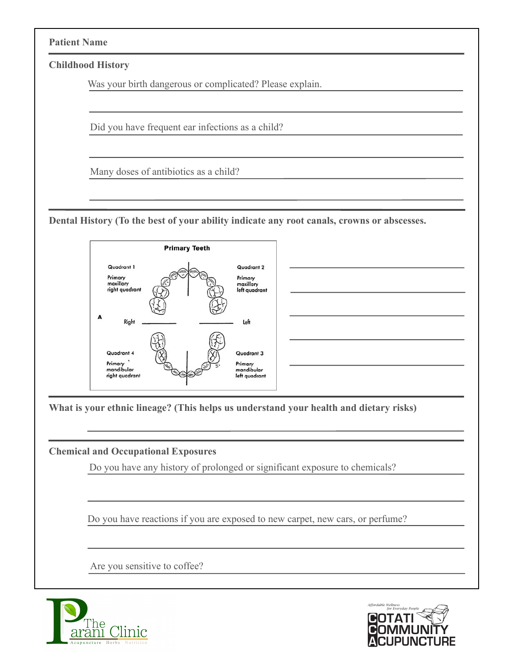